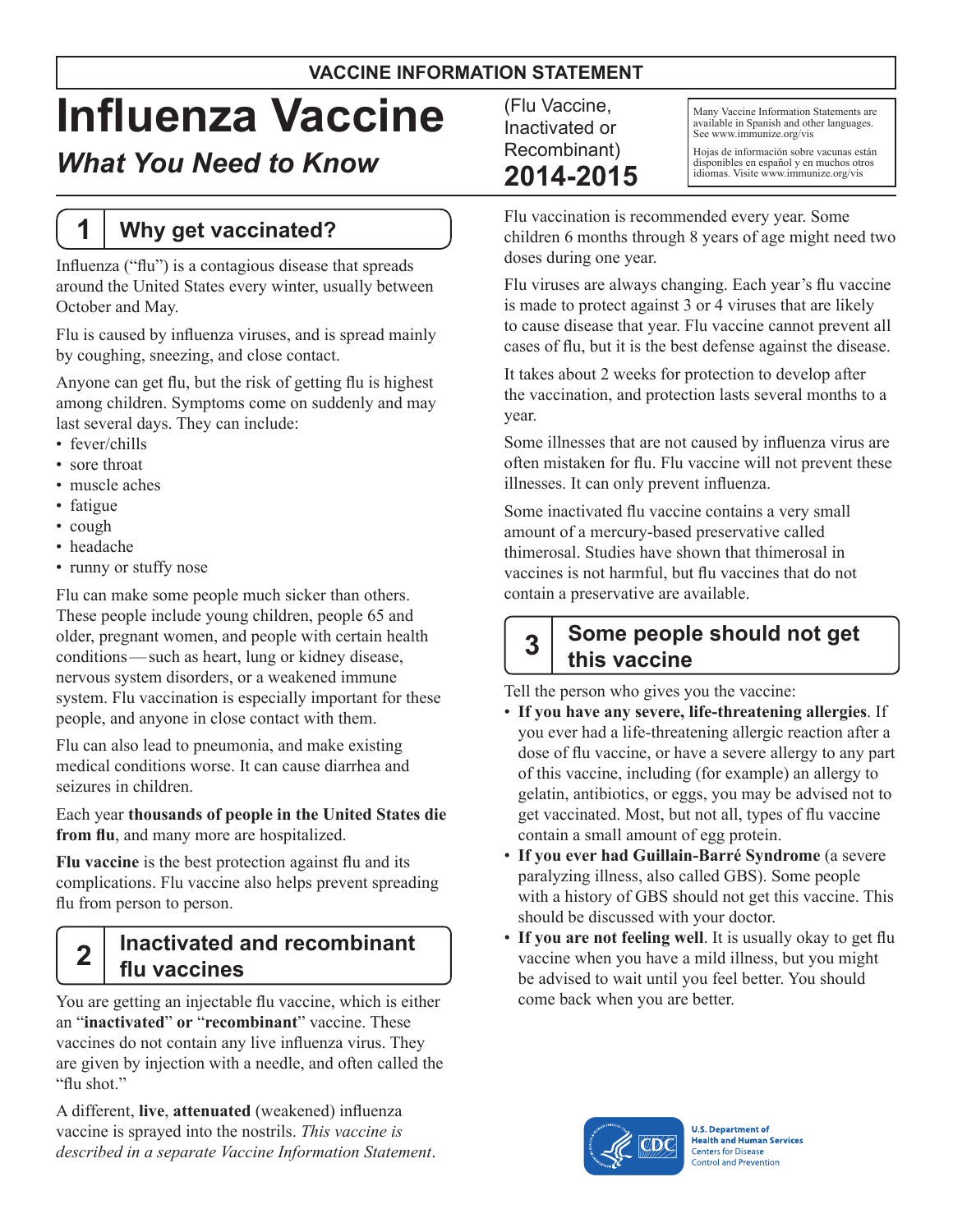#### **VACCINE INFORMATION STATEMENT**

# **Influenza Vaccine**

## *What You Need to Know*

## **1 Why get vaccinated?**

Influenza ("flu") is a contagious disease that spreads around the United States every winter, usually between October and May.

Flu is caused by influenza viruses, and is spread mainly by coughing, sneezing, and close contact.

Anyone can get flu, but the risk of getting flu is highest among children. Symptoms come on suddenly and may last several days. They can include:

- fever/chills
- sore throat
- muscle aches
- fatigue
- cough
- headache
- runny or stuffy nose

Flu can make some people much sicker than others. These people include young children, people 65 and older, pregnant women, and people with certain health conditions—such as heart, lung or kidney disease, nervous system disorders, or a weakened immune system. Flu vaccination is especially important for these people, and anyone in close contact with them.

Flu can also lead to pneumonia, and make existing medical conditions worse. It can cause diarrhea and seizures in children.

Each year **thousands of people in the United States die from flu**, and many more are hospitalized.

**Flu vaccine** is the best protection against flu and its complications. Flu vaccine also helps prevent spreading flu from person to person.

## **2 Inactivated and recombinant flu vaccines**

You are getting an injectable flu vaccine, which is either an "**inactivated**" **or** "**recombinant**" vaccine. These vaccines do not contain any live influenza virus. They are given by injection with a needle, and often called the "flu shot."

A different, **live**, **attenuated** (weakened) influenza vaccine is sprayed into the nostrils. *This vaccine is described in a separate Vaccine Information Statement*. (Flu Vaccine, Inactivated or Recombinant) **2014-2015**

Many Vaccine Information Statements are available in Spanish and other languages. See www.immunize.org/vis

Hojas de información sobre vacunas están disponibles en español y en muchos otros idiomas. Visite www.immunize.org/vis

Flu vaccination is recommended every year. Some children 6 months through 8 years of age might need two doses during one year.

Flu viruses are always changing. Each year's flu vaccine is made to protect against 3 or 4 viruses that are likely to cause disease that year. Flu vaccine cannot prevent all cases of flu, but it is the best defense against the disease.

It takes about 2 weeks for protection to develop after the vaccination, and protection lasts several months to a year.

Some illnesses that are not caused by influenza virus are often mistaken for flu. Flu vaccine will not prevent these illnesses. It can only prevent influenza.

Some inactivated flu vaccine contains a very small amount of a mercury-based preservative called thimerosal. Studies have shown that thimerosal in vaccines is not harmful, but flu vaccines that do not contain a preservative are available.

### **3 Some people should not get this vaccine**

Tell the person who gives you the vaccine:

- **If you have any severe, life-threatening allergies**. If you ever had a life-threatening allergic reaction after a dose of flu vaccine, or have a severe allergy to any part of this vaccine, including (for example) an allergy to gelatin, antibiotics, or eggs, you may be advised not to get vaccinated. Most, but not all, types of flu vaccine contain a small amount of egg protein.
- **If you ever had Guillain-Barré Syndrome** (a severe paralyzing illness, also called GBS). Some people with a history of GBS should not get this vaccine. This should be discussed with your doctor.
- If you are not feeling well. It is usually okay to get flu vaccine when you have a mild illness, but you might be advised to wait until you feel better. You should come back when you are better.